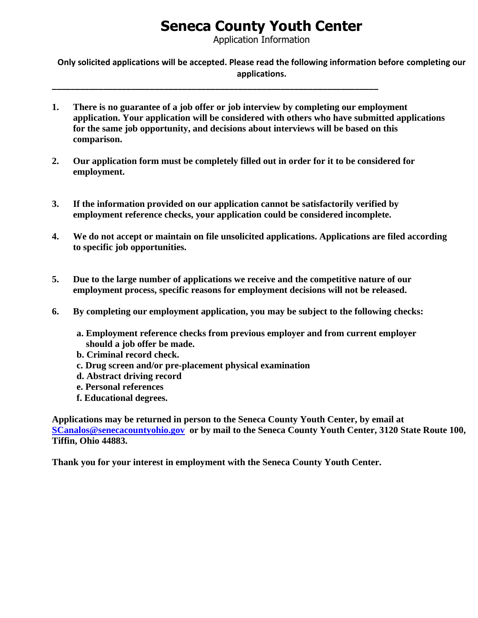## **Seneca County Youth Center**

Application Information

**Only solicited applications will be accepted. Please read the following information before completing our applications.**

- **1. There is no guarantee of a job offer or job interview by completing our employment application. Your application will be considered with others who have submitted applications for the same job opportunity, and decisions about interviews will be based on this comparison.**
- **2. Our application form must be completely filled out in order for it to be considered for employment.**

**\_\_\_\_\_\_\_\_\_\_\_\_\_\_\_\_\_\_\_\_\_\_\_\_\_\_\_\_\_\_\_\_\_\_\_\_\_\_\_\_\_\_\_\_\_\_\_\_\_\_\_\_\_\_\_\_\_\_\_\_\_\_\_\_\_\_\_\_\_\_**

- **3. If the information provided on our application cannot be satisfactorily verified by employment reference checks, your application could be considered incomplete.**
- **4. We do not accept or maintain on file unsolicited applications. Applications are filed according to specific job opportunities.**
- **5. Due to the large number of applications we receive and the competitive nature of our employment process, specific reasons for employment decisions will not be released.**
- **6. By completing our employment application, you may be subject to the following checks:**
	- **a. Employment reference checks from previous employer and from current employer should a job offer be made.**
	- **b. Criminal record check.**
	- **c. Drug screen and/or pre-placement physical examination**
	- **d. Abstract driving record**
	- **e. Personal references**
	- **f. Educational degrees.**

**Applications may be returned in person to the Seneca County Youth Center, by email at [SCanalos@senecacountyohio.gov](mailto:SCanalos@senecacountyohio.gov) or by mail to the Seneca County Youth Center, 3120 State Route 100, Tiffin, Ohio 44883.**

**Thank you for your interest in employment with the Seneca County Youth Center.**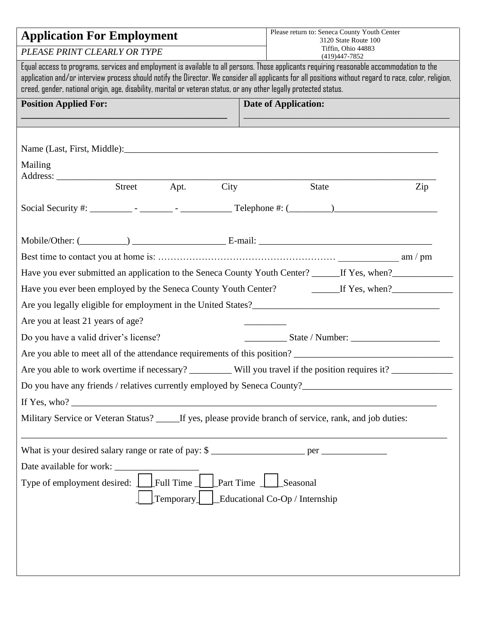| <b>Application For Employment</b>                                                                                                                                                                                                                                                                                                                                                                                         |        |              | Please return to: Seneca County Youth Center<br>3120 State Route 100                                           |  |  |  |
|---------------------------------------------------------------------------------------------------------------------------------------------------------------------------------------------------------------------------------------------------------------------------------------------------------------------------------------------------------------------------------------------------------------------------|--------|--------------|----------------------------------------------------------------------------------------------------------------|--|--|--|
| PLEASE PRINT CLEARLY OR TYPE                                                                                                                                                                                                                                                                                                                                                                                              |        |              | Tiffin, Ohio 44883<br>(419) 447-7852                                                                           |  |  |  |
| Equal access to programs, services and employment is available to all persons. Those applicants requiring reasonable accommodation to the<br>application and/or interview process should notify the Director. We consider all applicants for all positions without regard to race, color, religion,<br>creed, gender, national origin, age, disability, marital or veteran status, or any other legally protected status. |        |              |                                                                                                                |  |  |  |
| <b>Position Applied For:</b>                                                                                                                                                                                                                                                                                                                                                                                              |        |              | <b>Date of Application:</b>                                                                                    |  |  |  |
|                                                                                                                                                                                                                                                                                                                                                                                                                           |        |              |                                                                                                                |  |  |  |
|                                                                                                                                                                                                                                                                                                                                                                                                                           |        |              |                                                                                                                |  |  |  |
| Mailing                                                                                                                                                                                                                                                                                                                                                                                                                   |        |              |                                                                                                                |  |  |  |
|                                                                                                                                                                                                                                                                                                                                                                                                                           | Street | Apt.<br>City | <b>State</b><br>Zip                                                                                            |  |  |  |
|                                                                                                                                                                                                                                                                                                                                                                                                                           |        |              |                                                                                                                |  |  |  |
|                                                                                                                                                                                                                                                                                                                                                                                                                           |        |              |                                                                                                                |  |  |  |
|                                                                                                                                                                                                                                                                                                                                                                                                                           |        |              |                                                                                                                |  |  |  |
|                                                                                                                                                                                                                                                                                                                                                                                                                           |        |              |                                                                                                                |  |  |  |
|                                                                                                                                                                                                                                                                                                                                                                                                                           |        |              | Have you ever submitted an application to the Seneca County Youth Center? ______If Yes, when?_________________ |  |  |  |
|                                                                                                                                                                                                                                                                                                                                                                                                                           |        |              | Have you ever been employed by the Seneca County Youth Center? The Mass Left Yes, when?                        |  |  |  |
|                                                                                                                                                                                                                                                                                                                                                                                                                           |        |              |                                                                                                                |  |  |  |
| Are you at least 21 years of age?                                                                                                                                                                                                                                                                                                                                                                                         |        |              |                                                                                                                |  |  |  |
| Do you have a valid driver's license?                                                                                                                                                                                                                                                                                                                                                                                     |        |              |                                                                                                                |  |  |  |
|                                                                                                                                                                                                                                                                                                                                                                                                                           |        |              |                                                                                                                |  |  |  |
| Are you able to work overtime if necessary? __________ Will you travel if the position requires it? ____________                                                                                                                                                                                                                                                                                                          |        |              |                                                                                                                |  |  |  |
|                                                                                                                                                                                                                                                                                                                                                                                                                           |        |              |                                                                                                                |  |  |  |
| If Yes, who? $\frac{1}{2}$ $\frac{1}{2}$ $\frac{1}{2}$ $\frac{1}{2}$ $\frac{1}{2}$ $\frac{1}{2}$ $\frac{1}{2}$ $\frac{1}{2}$ $\frac{1}{2}$ $\frac{1}{2}$ $\frac{1}{2}$ $\frac{1}{2}$ $\frac{1}{2}$ $\frac{1}{2}$ $\frac{1}{2}$ $\frac{1}{2}$ $\frac{1}{2}$ $\frac{1}{2}$ $\frac{1}{2}$ $\frac{1}{2}$ $\frac{1}{2}$                                                                                                        |        |              |                                                                                                                |  |  |  |
| Military Service or Veteran Status? _____ If yes, please provide branch of service, rank, and job duties:                                                                                                                                                                                                                                                                                                                 |        |              |                                                                                                                |  |  |  |
|                                                                                                                                                                                                                                                                                                                                                                                                                           |        |              | What is your desired salary range or rate of pay: \$                                                           |  |  |  |
|                                                                                                                                                                                                                                                                                                                                                                                                                           |        |              |                                                                                                                |  |  |  |
| Full Time   Part Time   Seasonal<br>Type of employment desired: 1                                                                                                                                                                                                                                                                                                                                                         |        |              |                                                                                                                |  |  |  |
| $\lbrack$ Temporary $\lbrack$ $\lbrack$ Educational Co-Op / Internship                                                                                                                                                                                                                                                                                                                                                    |        |              |                                                                                                                |  |  |  |
|                                                                                                                                                                                                                                                                                                                                                                                                                           |        |              |                                                                                                                |  |  |  |
|                                                                                                                                                                                                                                                                                                                                                                                                                           |        |              |                                                                                                                |  |  |  |
|                                                                                                                                                                                                                                                                                                                                                                                                                           |        |              |                                                                                                                |  |  |  |
|                                                                                                                                                                                                                                                                                                                                                                                                                           |        |              |                                                                                                                |  |  |  |
|                                                                                                                                                                                                                                                                                                                                                                                                                           |        |              |                                                                                                                |  |  |  |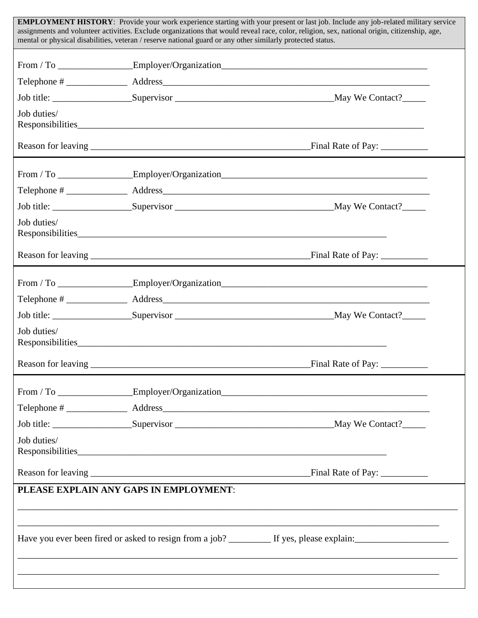| <b>EMPLOYMENT HISTORY</b> : Provide your work experience starting with your present or last job. Include any job-related military service<br>assignments and volunteer activities. Exclude organizations that would reveal race, color, religion, sex, national origin, citizenship, age,<br>mental or physical disabilities, veteran / reserve national guard or any other similarly protected status. |                                                                                   |  |  |  |
|---------------------------------------------------------------------------------------------------------------------------------------------------------------------------------------------------------------------------------------------------------------------------------------------------------------------------------------------------------------------------------------------------------|-----------------------------------------------------------------------------------|--|--|--|
|                                                                                                                                                                                                                                                                                                                                                                                                         | From / To ________________Employer/Organization__________________________________ |  |  |  |
|                                                                                                                                                                                                                                                                                                                                                                                                         |                                                                                   |  |  |  |
|                                                                                                                                                                                                                                                                                                                                                                                                         |                                                                                   |  |  |  |
| Job duties/                                                                                                                                                                                                                                                                                                                                                                                             |                                                                                   |  |  |  |
|                                                                                                                                                                                                                                                                                                                                                                                                         |                                                                                   |  |  |  |
|                                                                                                                                                                                                                                                                                                                                                                                                         | From / To _________________Employer/Organization_________________________________ |  |  |  |
|                                                                                                                                                                                                                                                                                                                                                                                                         |                                                                                   |  |  |  |
|                                                                                                                                                                                                                                                                                                                                                                                                         |                                                                                   |  |  |  |
| Job duties/                                                                                                                                                                                                                                                                                                                                                                                             |                                                                                   |  |  |  |
|                                                                                                                                                                                                                                                                                                                                                                                                         |                                                                                   |  |  |  |
|                                                                                                                                                                                                                                                                                                                                                                                                         |                                                                                   |  |  |  |
|                                                                                                                                                                                                                                                                                                                                                                                                         |                                                                                   |  |  |  |
|                                                                                                                                                                                                                                                                                                                                                                                                         |                                                                                   |  |  |  |
| Job duties/                                                                                                                                                                                                                                                                                                                                                                                             |                                                                                   |  |  |  |
| Reason for leaving                                                                                                                                                                                                                                                                                                                                                                                      | Final Rate of Pay: _                                                              |  |  |  |
|                                                                                                                                                                                                                                                                                                                                                                                                         | From / To ________________Employer/Organization_________________________________  |  |  |  |
|                                                                                                                                                                                                                                                                                                                                                                                                         |                                                                                   |  |  |  |
|                                                                                                                                                                                                                                                                                                                                                                                                         |                                                                                   |  |  |  |
| Job duties/                                                                                                                                                                                                                                                                                                                                                                                             |                                                                                   |  |  |  |
|                                                                                                                                                                                                                                                                                                                                                                                                         |                                                                                   |  |  |  |
| PLEASE EXPLAIN ANY GAPS IN EMPLOYMENT:                                                                                                                                                                                                                                                                                                                                                                  |                                                                                   |  |  |  |
|                                                                                                                                                                                                                                                                                                                                                                                                         |                                                                                   |  |  |  |
|                                                                                                                                                                                                                                                                                                                                                                                                         |                                                                                   |  |  |  |
|                                                                                                                                                                                                                                                                                                                                                                                                         |                                                                                   |  |  |  |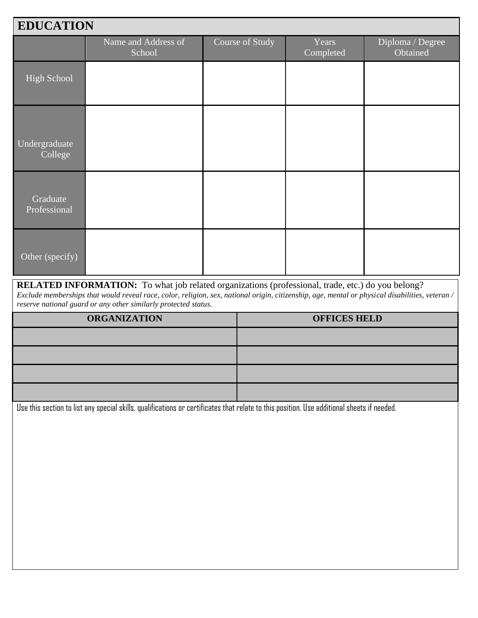| <b>EDUCATION</b>         |                               |                 |                    |                              |  |
|--------------------------|-------------------------------|-----------------|--------------------|------------------------------|--|
|                          | Name and Address of<br>School | Course of Study | Years<br>Completed | Diploma / Degree<br>Obtained |  |
| High School              |                               |                 |                    |                              |  |
| Undergraduate<br>College |                               |                 |                    |                              |  |
| Graduate<br>Professional |                               |                 |                    |                              |  |
| Other (specify)          |                               |                 |                    |                              |  |

**RELATED INFORMATION:** To what job related organizations (professional, trade, etc.) do you belong? *Exclude memberships that would reveal race, color, religion, sex, national origin, citizenship, age, mental or physical disabilities, veteran / reserve national guard or any other similarly protected status.*

| <b>ORGANIZATION</b> | <b>OFFICES HELD</b> |
|---------------------|---------------------|
|                     |                     |
|                     |                     |
|                     |                     |
|                     |                     |

Use this section to list any special skills, qualifications or certificates that relate to this position. Use additional sheets if needed.